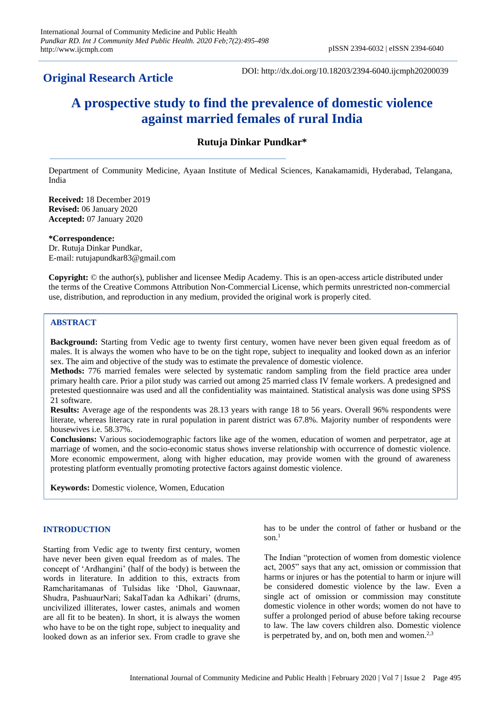## **Original Research Article**

DOI: http://dx.doi.org/10.18203/2394-6040.ijcmph20200039

# **A prospective study to find the prevalence of domestic violence against married females of rural India**

## **Rutuja Dinkar Pundkar\***

Department of Community Medicine, Ayaan Institute of Medical Sciences, Kanakamamidi, Hyderabad, Telangana, India

**Received:** 18 December 2019 **Revised:** 06 January 2020 **Accepted:** 07 January 2020

**\*Correspondence:** Dr. Rutuja Dinkar Pundkar, E-mail: rutujapundkar83@gmail.com

**Copyright:** © the author(s), publisher and licensee Medip Academy. This is an open-access article distributed under the terms of the Creative Commons Attribution Non-Commercial License, which permits unrestricted non-commercial use, distribution, and reproduction in any medium, provided the original work is properly cited.

## **ABSTRACT**

**Background:** Starting from Vedic age to twenty first century, women have never been given equal freedom as of males. It is always the women who have to be on the tight rope, subject to inequality and looked down as an inferior sex. The aim and objective of the study was to estimate the prevalence of domestic violence.

**Methods:** 776 married females were selected by systematic random sampling from the field practice area under primary health care. Prior a pilot study was carried out among 25 married class IV female workers. A predesigned and pretested questionnaire was used and all the confidentiality was maintained. Statistical analysis was done using SPSS 21 software.

**Results:** Average age of the respondents was 28.13 years with range 18 to 56 years. Overall 96% respondents were literate, whereas literacy rate in rural population in parent district was 67.8%. Majority number of respondents were housewives i.e. 58.37%.

**Conclusions:** Various sociodemographic factors like age of the women, education of women and perpetrator, age at marriage of women, and the socio-economic status shows inverse relationship with occurrence of domestic violence. More economic empowerment, along with higher education, may provide women with the ground of awareness protesting platform eventually promoting protective factors against domestic violence.

**Keywords:** Domestic violence, Women, Education

## **INTRODUCTION**

Starting from Vedic age to twenty first century, women have never been given equal freedom as of males. The concept of 'Ardhangini' (half of the body) is between the words in literature. In addition to this, extracts from Ramcharitamanas of Tulsidas like 'Dhol, Gauwnaar, Shudra, PashuaurNari; SakalTadan ka Adhikari' (drums, uncivilized illiterates, lower castes, animals and women are all fit to be beaten). In short, it is always the women who have to be on the tight rope, subject to inequality and looked down as an inferior sex. From cradle to grave she has to be under the control of father or husband or the son. $<sup>1</sup>$ </sup>

The Indian "protection of women from domestic violence act, 2005" says that any act, omission or commission that harms or injures or has the potential to harm or injure will be considered domestic violence by the law. Even a single act of omission or commission may constitute domestic violence in other words; women do not have to suffer a prolonged period of abuse before taking recourse to law. The law covers children also. Domestic violence is perpetrated by, and on, both men and women. $2,3$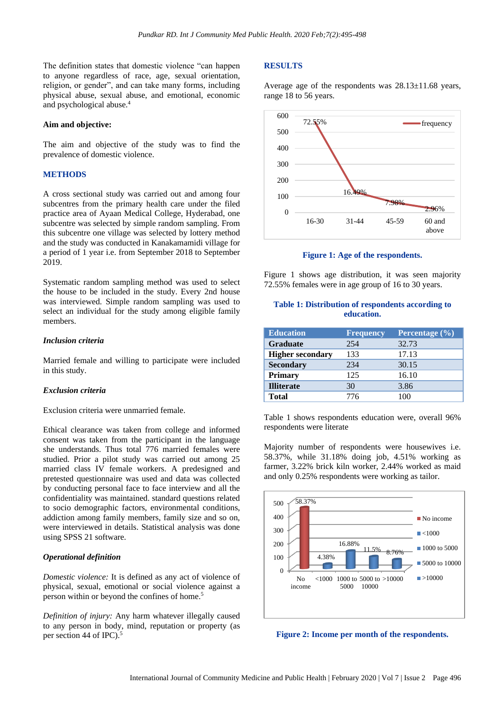The definition states that domestic violence "can happen to anyone regardless of race, age, sexual orientation, religion, or gender", and can take many forms, including physical abuse, sexual abuse, and emotional, economic and psychological abuse.<sup>4</sup>

#### **Aim and objective:**

The aim and objective of the study was to find the prevalence of domestic violence.

## **METHODS**

A cross sectional study was carried out and among four subcentres from the primary health care under the filed practice area of Ayaan Medical College, Hyderabad, one subcentre was selected by simple random sampling. From this subcentre one village was selected by lottery method and the study was conducted in Kanakamamidi village for a period of 1 year i.e. from September 2018 to September 2019.

Systematic random sampling method was used to select the house to be included in the study. Every 2nd house was interviewed. Simple random sampling was used to select an individual for the study among eligible family members.

#### *Inclusion criteria*

Married female and willing to participate were included in this study.

#### *Exclusion criteria*

Exclusion criteria were unmarried female.

Ethical clearance was taken from college and informed consent was taken from the participant in the language she understands. Thus total 776 married females were studied. Prior a pilot study was carried out among 25 married class IV female workers. A predesigned and pretested questionnaire was used and data was collected by conducting personal face to face interview and all the confidentiality was maintained. standard questions related to socio demographic factors, environmental conditions, addiction among family members, family size and so on, were interviewed in details. Statistical analysis was done using SPSS 21 software.

#### *Operational definition*

*Domestic violence:* It is defined as any act of violence of physical, sexual, emotional or social violence against a person within or beyond the confines of home.<sup>5</sup>

*Definition of injury:* Any harm whatever illegally caused to any person in body, mind, reputation or property (as per section 44 of IPC). 5

#### **RESULTS**

Average age of the respondents was 28.13±11.68 years, range 18 to 56 years.



**Figure 1: Age of the respondents.**

Figure 1 shows age distribution, it was seen majority 72.55% females were in age group of 16 to 30 years.

## **Table 1: Distribution of respondents according to education.**

| <b>Education</b>        | <b>Frequency</b> | Percentage $(\% )$ |
|-------------------------|------------------|--------------------|
| <b>Graduate</b>         | 254              | 32.73              |
| <b>Higher secondary</b> | 133              | 17.13              |
| <b>Secondary</b>        | 234              | 30.15              |
| <b>Primary</b>          | 125              | 16.10              |
| <b>Illiterate</b>       | 30               | 3.86               |
| <b>Total</b>            | 776              | 100                |

Table 1 shows respondents education were, overall 96% respondents were literate

Majority number of respondents were housewives i.e. 58.37%, while 31.18% doing job, 4.51% working as farmer, 3.22% brick kiln worker, 2.44% worked as maid and only 0.25% respondents were working as tailor.



**Figure 2: Income per month of the respondents.**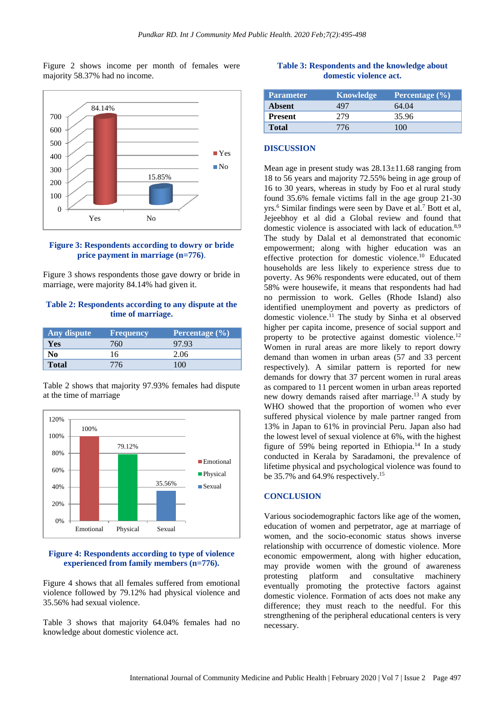Figure 2 shows income per month of females were majority 58.37% had no income.



## **Figure 3: Respondents according to dowry or bride price payment in marriage (n=776)**.

Figure 3 shows respondents those gave dowry or bride in marriage, were majority 84.14% had given it.

## **Table 2: Respondents according to any dispute at the time of marriage.**

| Any dispute  | <b>Frequency</b> | Percentage $(\% )$ |
|--------------|------------------|--------------------|
| Yes          | 760              | 97.93              |
| No           | 16               | 2.06               |
| <b>Total</b> | 776              | 100                |

Table 2 shows that majority 97.93% females had dispute at the time of marriage



#### **Figure 4: Respondents according to type of violence experienced from family members (n=776).**

Figure 4 shows that all females suffered from emotional violence followed by 79.12% had physical violence and 35.56% had sexual violence.

Table 3 shows that majority 64.04% females had no knowledge about domestic violence act.

## **Table 3: Respondents and the knowledge about domestic violence act.**

| <b>Parameter</b> | Knowledge | Percentage $(\% )$ |
|------------------|-----------|--------------------|
| Absent           | 497       | 64.04              |
| <b>Present</b>   | 279       | 35.96              |
| <b>Total</b>     | 776       | 100                |

#### **DISCUSSION**

Mean age in present study was  $28.13 \pm 11.68$  ranging from 18 to 56 years and majority 72.55% being in age group of 16 to 30 years, whereas in study by Foo et al rural study found 35.6% female victims fall in the age group 21-30 yrs.<sup>6</sup> Similar findings were seen by Dave et al.<sup>7</sup> Bott et al, Jejeebhoy et al did a Global review and found that domestic violence is associated with lack of education.8,9 The study by Dalal et al demonstrated that economic empowerment; along with higher education was an effective protection for domestic violence.<sup>10</sup> Educated households are less likely to experience stress due to poverty. As 96% respondents were educated, out of them 58% were housewife, it means that respondents had had no permission to work. Gelles (Rhode Island) also identified unemployment and poverty as predictors of domestic violence.<sup>11</sup> The study by Sinha et al observed higher per capita income, presence of social support and property to be protective against domestic violence.<sup>12</sup> Women in rural areas are more likely to report dowry demand than women in urban areas (57 and 33 percent respectively). A similar pattern is reported for new demands for dowry that 37 percent women in rural areas as compared to 11 percent women in urban areas reported new dowry demands raised after marriage.<sup>13</sup> A study by WHO showed that the proportion of women who ever suffered physical violence by male partner ranged from 13% in Japan to 61% in provincial Peru. Japan also had the lowest level of sexual violence at 6%, with the highest figure of 59% being reported in Ethiopia.<sup>14</sup> In a study conducted in Kerala by Saradamoni, the prevalence of lifetime physical and psychological violence was found to be 35.7% and 64.9% respectively.<sup>15</sup>

#### **CONCLUSION**

Various sociodemographic factors like age of the women, education of women and perpetrator, age at marriage of women, and the socio-economic status shows inverse relationship with occurrence of domestic violence. More economic empowerment, along with higher education, may provide women with the ground of awareness protesting platform and consultative machinery eventually promoting the protective factors against domestic violence. Formation of acts does not make any difference; they must reach to the needful. For this strengthening of the peripheral educational centers is very necessary.